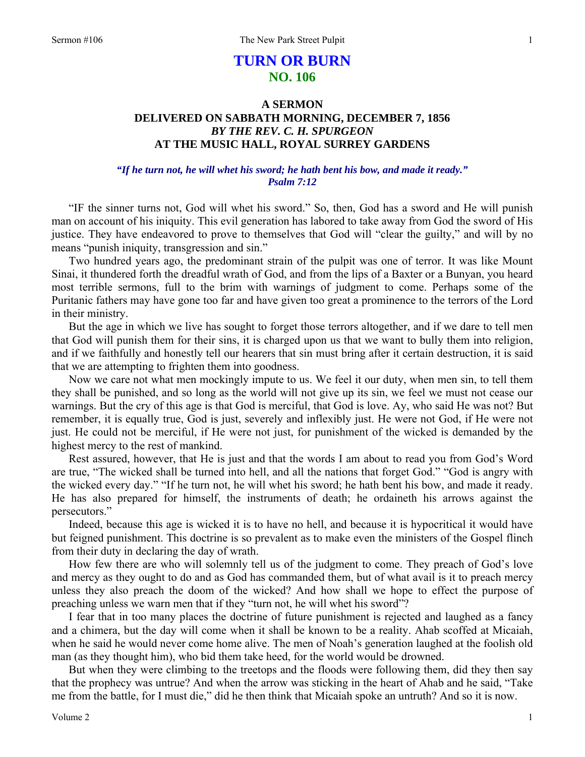# **TURN OR BURN NO. 106**

## **A SERMON DELIVERED ON SABBATH MORNING, DECEMBER 7, 1856**  *BY THE REV. C. H. SPURGEON*  **AT THE MUSIC HALL, ROYAL SURREY GARDENS**

## *"If he turn not, he will whet his sword; he hath bent his bow, and made it ready." Psalm 7:12*

"IF the sinner turns not, God will whet his sword." So, then, God has a sword and He will punish man on account of his iniquity. This evil generation has labored to take away from God the sword of His justice. They have endeavored to prove to themselves that God will "clear the guilty," and will by no means "punish iniquity, transgression and sin."

Two hundred years ago, the predominant strain of the pulpit was one of terror. It was like Mount Sinai, it thundered forth the dreadful wrath of God, and from the lips of a Baxter or a Bunyan, you heard most terrible sermons, full to the brim with warnings of judgment to come. Perhaps some of the Puritanic fathers may have gone too far and have given too great a prominence to the terrors of the Lord in their ministry.

But the age in which we live has sought to forget those terrors altogether, and if we dare to tell men that God will punish them for their sins, it is charged upon us that we want to bully them into religion, and if we faithfully and honestly tell our hearers that sin must bring after it certain destruction, it is said that we are attempting to frighten them into goodness.

Now we care not what men mockingly impute to us. We feel it our duty, when men sin, to tell them they shall be punished, and so long as the world will not give up its sin, we feel we must not cease our warnings. But the cry of this age is that God is merciful, that God is love. Ay, who said He was not? But remember, it is equally true, God is just, severely and inflexibly just. He were not God, if He were not just. He could not be merciful, if He were not just, for punishment of the wicked is demanded by the highest mercy to the rest of mankind.

Rest assured, however, that He is just and that the words I am about to read you from God's Word are true, "The wicked shall be turned into hell, and all the nations that forget God." "God is angry with the wicked every day." "If he turn not, he will whet his sword; he hath bent his bow, and made it ready. He has also prepared for himself, the instruments of death; he ordaineth his arrows against the persecutors."

Indeed, because this age is wicked it is to have no hell, and because it is hypocritical it would have but feigned punishment. This doctrine is so prevalent as to make even the ministers of the Gospel flinch from their duty in declaring the day of wrath.

How few there are who will solemnly tell us of the judgment to come. They preach of God's love and mercy as they ought to do and as God has commanded them, but of what avail is it to preach mercy unless they also preach the doom of the wicked? And how shall we hope to effect the purpose of preaching unless we warn men that if they "turn not, he will whet his sword"?

I fear that in too many places the doctrine of future punishment is rejected and laughed as a fancy and a chimera, but the day will come when it shall be known to be a reality. Ahab scoffed at Micaiah, when he said he would never come home alive. The men of Noah's generation laughed at the foolish old man (as they thought him), who bid them take heed, for the world would be drowned.

But when they were climbing to the treetops and the floods were following them, did they then say that the prophecy was untrue? And when the arrow was sticking in the heart of Ahab and he said, "Take me from the battle, for I must die," did he then think that Micaiah spoke an untruth? And so it is now.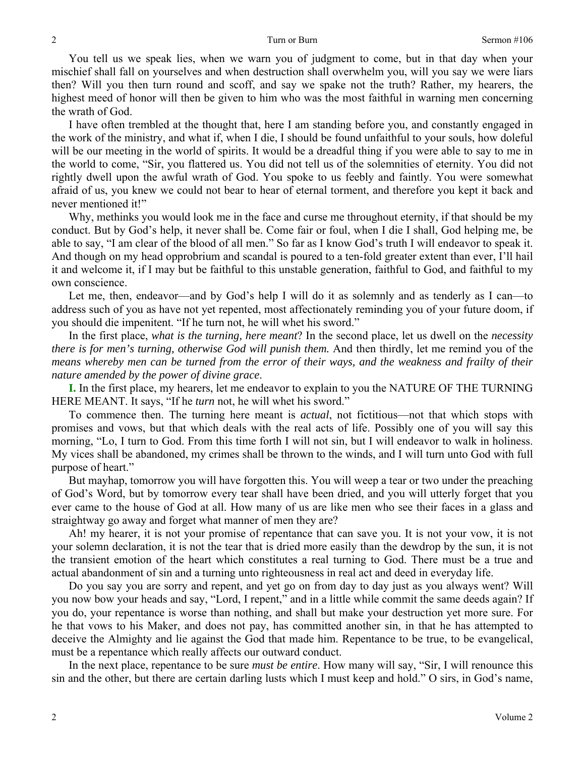You tell us we speak lies, when we warn you of judgment to come, but in that day when your mischief shall fall on yourselves and when destruction shall overwhelm you, will you say we were liars then? Will you then turn round and scoff, and say we spake not the truth? Rather, my hearers, the highest meed of honor will then be given to him who was the most faithful in warning men concerning the wrath of God.

I have often trembled at the thought that, here I am standing before you, and constantly engaged in the work of the ministry, and what if, when I die, I should be found unfaithful to your souls, how doleful will be our meeting in the world of spirits. It would be a dreadful thing if you were able to say to me in the world to come, "Sir, you flattered us. You did not tell us of the solemnities of eternity. You did not rightly dwell upon the awful wrath of God. You spoke to us feebly and faintly. You were somewhat afraid of us, you knew we could not bear to hear of eternal torment, and therefore you kept it back and never mentioned it!"

Why, methinks you would look me in the face and curse me throughout eternity, if that should be my conduct. But by God's help, it never shall be. Come fair or foul, when I die I shall, God helping me, be able to say, "I am clear of the blood of all men." So far as I know God's truth I will endeavor to speak it. And though on my head opprobrium and scandal is poured to a ten-fold greater extent than ever, I'll hail it and welcome it, if I may but be faithful to this unstable generation, faithful to God, and faithful to my own conscience.

Let me, then, endeavor—and by God's help I will do it as solemnly and as tenderly as I can—to address such of you as have not yet repented, most affectionately reminding you of your future doom, if you should die impenitent. "If he turn not, he will whet his sword."

In the first place, *what is the turning, here meant*? In the second place, let us dwell on the *necessity there is for men's turning, otherwise God will punish them.* And then thirdly, let me remind you of the *means whereby men can be turned from the error of their ways, and the weakness and frailty of their nature amended by the power of divine grace*.

**I.** In the first place, my hearers, let me endeavor to explain to you the NATURE OF THE TURNING HERE MEANT. It says, "If he *turn* not, he will whet his sword."

To commence then. The turning here meant is *actual*, not fictitious—not that which stops with promises and vows, but that which deals with the real acts of life. Possibly one of you will say this morning, "Lo, I turn to God. From this time forth I will not sin, but I will endeavor to walk in holiness. My vices shall be abandoned, my crimes shall be thrown to the winds, and I will turn unto God with full purpose of heart."

But mayhap, tomorrow you will have forgotten this. You will weep a tear or two under the preaching of God's Word, but by tomorrow every tear shall have been dried, and you will utterly forget that you ever came to the house of God at all. How many of us are like men who see their faces in a glass and straightway go away and forget what manner of men they are?

Ah! my hearer, it is not your promise of repentance that can save you. It is not your vow, it is not your solemn declaration, it is not the tear that is dried more easily than the dewdrop by the sun, it is not the transient emotion of the heart which constitutes a real turning to God. There must be a true and actual abandonment of sin and a turning unto righteousness in real act and deed in everyday life.

Do you say you are sorry and repent, and yet go on from day to day just as you always went? Will you now bow your heads and say, "Lord, I repent," and in a little while commit the same deeds again? If you do, your repentance is worse than nothing, and shall but make your destruction yet more sure. For he that vows to his Maker, and does not pay, has committed another sin, in that he has attempted to deceive the Almighty and lie against the God that made him. Repentance to be true, to be evangelical, must be a repentance which really affects our outward conduct.

In the next place, repentance to be sure *must be entire*. How many will say, "Sir, I will renounce this sin and the other, but there are certain darling lusts which I must keep and hold." O sirs, in God's name,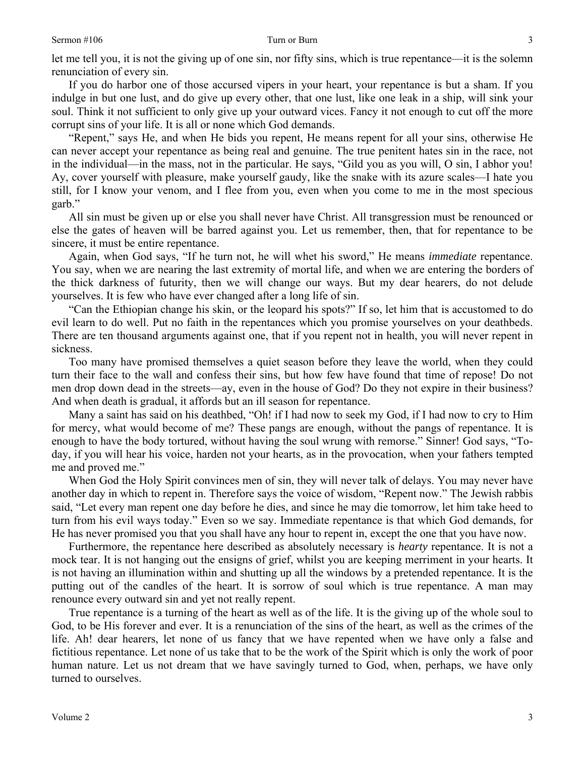3

let me tell you, it is not the giving up of one sin, nor fifty sins, which is true repentance—it is the solemn renunciation of every sin.

If you do harbor one of those accursed vipers in your heart, your repentance is but a sham. If you indulge in but one lust, and do give up every other, that one lust, like one leak in a ship, will sink your soul. Think it not sufficient to only give up your outward vices. Fancy it not enough to cut off the more corrupt sins of your life. It is all or none which God demands.

"Repent," says He, and when He bids you repent, He means repent for all your sins, otherwise He can never accept your repentance as being real and genuine. The true penitent hates sin in the race, not in the individual—in the mass, not in the particular. He says, "Gild you as you will, O sin, I abhor you! Ay, cover yourself with pleasure, make yourself gaudy, like the snake with its azure scales—I hate you still, for I know your venom, and I flee from you, even when you come to me in the most specious garb."

All sin must be given up or else you shall never have Christ. All transgression must be renounced or else the gates of heaven will be barred against you. Let us remember, then, that for repentance to be sincere, it must be entire repentance.

Again, when God says, "If he turn not, he will whet his sword," He means *immediate* repentance. You say, when we are nearing the last extremity of mortal life, and when we are entering the borders of the thick darkness of futurity, then we will change our ways. But my dear hearers, do not delude yourselves. It is few who have ever changed after a long life of sin.

"Can the Ethiopian change his skin, or the leopard his spots?" If so, let him that is accustomed to do evil learn to do well. Put no faith in the repentances which you promise yourselves on your deathbeds. There are ten thousand arguments against one, that if you repent not in health, you will never repent in sickness.

Too many have promised themselves a quiet season before they leave the world, when they could turn their face to the wall and confess their sins, but how few have found that time of repose! Do not men drop down dead in the streets—ay, even in the house of God? Do they not expire in their business? And when death is gradual, it affords but an ill season for repentance.

Many a saint has said on his deathbed, "Oh! if I had now to seek my God, if I had now to cry to Him for mercy, what would become of me? These pangs are enough, without the pangs of repentance. It is enough to have the body tortured, without having the soul wrung with remorse." Sinner! God says, "Today, if you will hear his voice, harden not your hearts, as in the provocation, when your fathers tempted me and proved me."

When God the Holy Spirit convinces men of sin, they will never talk of delays. You may never have another day in which to repent in. Therefore says the voice of wisdom, "Repent now." The Jewish rabbis said, "Let every man repent one day before he dies, and since he may die tomorrow, let him take heed to turn from his evil ways today." Even so we say. Immediate repentance is that which God demands, for He has never promised you that you shall have any hour to repent in, except the one that you have now.

Furthermore, the repentance here described as absolutely necessary is *hearty* repentance. It is not a mock tear. It is not hanging out the ensigns of grief, whilst you are keeping merriment in your hearts. It is not having an illumination within and shutting up all the windows by a pretended repentance. It is the putting out of the candles of the heart. It is sorrow of soul which is true repentance. A man may renounce every outward sin and yet not really repent.

True repentance is a turning of the heart as well as of the life. It is the giving up of the whole soul to God, to be His forever and ever. It is a renunciation of the sins of the heart, as well as the crimes of the life. Ah! dear hearers, let none of us fancy that we have repented when we have only a false and fictitious repentance. Let none of us take that to be the work of the Spirit which is only the work of poor human nature. Let us not dream that we have savingly turned to God, when, perhaps, we have only turned to ourselves.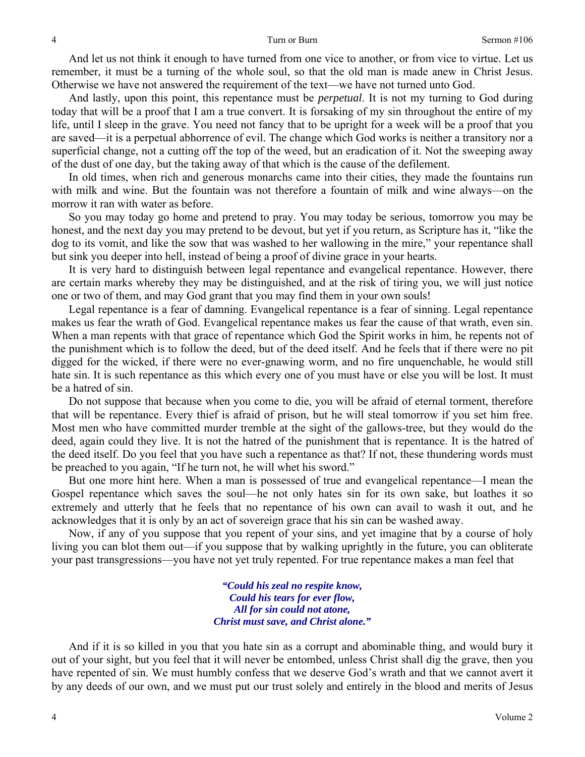And let us not think it enough to have turned from one vice to another, or from vice to virtue. Let us remember, it must be a turning of the whole soul, so that the old man is made anew in Christ Jesus. Otherwise we have not answered the requirement of the text—we have not turned unto God.

And lastly, upon this point, this repentance must be *perpetual*. It is not my turning to God during today that will be a proof that I am a true convert. It is forsaking of my sin throughout the entire of my life, until I sleep in the grave. You need not fancy that to be upright for a week will be a proof that you are saved—it is a perpetual abhorrence of evil. The change which God works is neither a transitory nor a superficial change, not a cutting off the top of the weed, but an eradication of it. Not the sweeping away of the dust of one day, but the taking away of that which is the cause of the defilement.

In old times, when rich and generous monarchs came into their cities, they made the fountains run with milk and wine. But the fountain was not therefore a fountain of milk and wine always—on the morrow it ran with water as before.

So you may today go home and pretend to pray. You may today be serious, tomorrow you may be honest, and the next day you may pretend to be devout, but yet if you return, as Scripture has it, "like the dog to its vomit, and like the sow that was washed to her wallowing in the mire," your repentance shall but sink you deeper into hell, instead of being a proof of divine grace in your hearts.

It is very hard to distinguish between legal repentance and evangelical repentance. However, there are certain marks whereby they may be distinguished, and at the risk of tiring you, we will just notice one or two of them, and may God grant that you may find them in your own souls!

Legal repentance is a fear of damning. Evangelical repentance is a fear of sinning. Legal repentance makes us fear the wrath of God. Evangelical repentance makes us fear the cause of that wrath, even sin. When a man repents with that grace of repentance which God the Spirit works in him, he repents not of the punishment which is to follow the deed, but of the deed itself. And he feels that if there were no pit digged for the wicked, if there were no ever-gnawing worm, and no fire unquenchable, he would still hate sin. It is such repentance as this which every one of you must have or else you will be lost. It must be a hatred of sin.

Do not suppose that because when you come to die, you will be afraid of eternal torment, therefore that will be repentance. Every thief is afraid of prison, but he will steal tomorrow if you set him free. Most men who have committed murder tremble at the sight of the gallows-tree, but they would do the deed, again could they live. It is not the hatred of the punishment that is repentance. It is the hatred of the deed itself. Do you feel that you have such a repentance as that? If not, these thundering words must be preached to you again, "If he turn not, he will whet his sword."

But one more hint here. When a man is possessed of true and evangelical repentance—I mean the Gospel repentance which saves the soul—he not only hates sin for its own sake, but loathes it so extremely and utterly that he feels that no repentance of his own can avail to wash it out, and he acknowledges that it is only by an act of sovereign grace that his sin can be washed away.

Now, if any of you suppose that you repent of your sins, and yet imagine that by a course of holy living you can blot them out—if you suppose that by walking uprightly in the future, you can obliterate your past transgressions—you have not yet truly repented. For true repentance makes a man feel that

> *"Could his zeal no respite know, Could his tears for ever flow, All for sin could not atone, Christ must save, and Christ alone."*

And if it is so killed in you that you hate sin as a corrupt and abominable thing, and would bury it out of your sight, but you feel that it will never be entombed, unless Christ shall dig the grave, then you have repented of sin. We must humbly confess that we deserve God's wrath and that we cannot avert it by any deeds of our own, and we must put our trust solely and entirely in the blood and merits of Jesus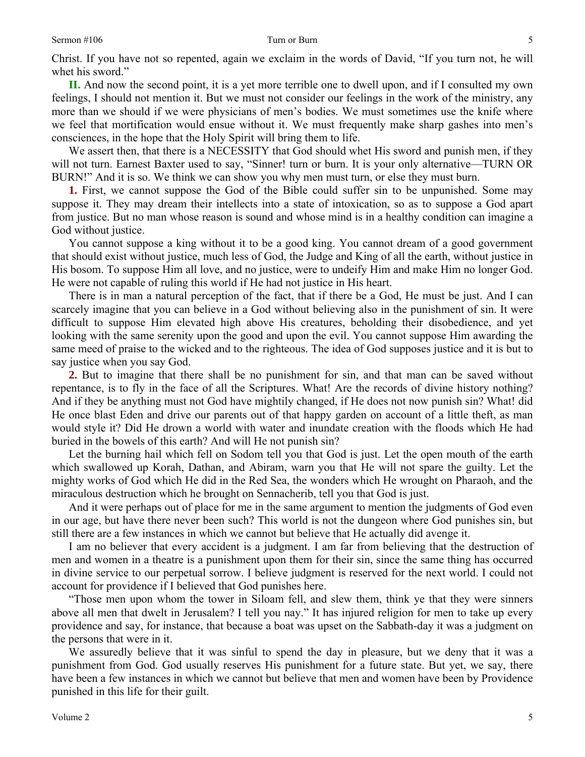Christ. If you have not so repented, again we exclaim in the words of David, "If you turn not, he will whet his sword."

**II.** And now the second point, it is a yet more terrible one to dwell upon, and if I consulted my own feelings, I should not mention it. But we must not consider our feelings in the work of the ministry, any more than we should if we were physicians of men's bodies. We must sometimes use the knife where we feel that mortification would ensue without it. We must frequently make sharp gashes into men's consciences, in the hope that the Holy Spirit will bring them to life.

We assert then, that there is a NECESSITY that God should whet His sword and punish men, if they will not turn. Earnest Baxter used to say, "Sinner! turn or burn. It is your only alternative—TURN OR BURN!" And it is so. We think we can show you why men must turn, or else they must burn.

**1.** First, we cannot suppose the God of the Bible could suffer sin to be unpunished. Some may suppose it. They may dream their intellects into a state of intoxication, so as to suppose a God apart from justice. But no man whose reason is sound and whose mind is in a healthy condition can imagine a God without justice.

You cannot suppose a king without it to be a good king. You cannot dream of a good government that should exist without justice, much less of God, the Judge and King of all the earth, without justice in His bosom. To suppose Him all love, and no justice, were to undeify Him and make Him no longer God. He were not capable of ruling this world if He had not justice in His heart.

There is in man a natural perception of the fact, that if there be a God, He must be just. And I can scarcely imagine that you can believe in a God without believing also in the punishment of sin. It were difficult to suppose Him elevated high above His creatures, beholding their disobedience, and yet looking with the same serenity upon the good and upon the evil. You cannot suppose Him awarding the same meed of praise to the wicked and to the righteous. The idea of God supposes justice and it is but to say justice when you say God.

**2.** But to imagine that there shall be no punishment for sin, and that man can be saved without repentance, is to fly in the face of all the Scriptures. What! Are the records of divine history nothing? And if they be anything must not God have mightily changed, if He does not now punish sin? What! did He once blast Eden and drive our parents out of that happy garden on account of a little theft, as man would style it? Did He drown a world with water and inundate creation with the floods which He had buried in the bowels of this earth? And will He not punish sin?

Let the burning hail which fell on Sodom tell you that God is just. Let the open mouth of the earth which swallowed up Korah, Dathan, and Abiram, warn you that He will not spare the guilty. Let the mighty works of God which He did in the Red Sea, the wonders which He wrought on Pharaoh, and the miraculous destruction which he brought on Sennacherib, tell you that God is just.

And it were perhaps out of place for me in the same argument to mention the judgments of God even in our age, but have there never been such? This world is not the dungeon where God punishes sin, but still there are a few instances in which we cannot but believe that He actually did avenge it.

I am no believer that every accident is a judgment. I am far from believing that the destruction of men and women in a theatre is a punishment upon them for their sin, since the same thing has occurred in divine service to our perpetual sorrow. I believe judgment is reserved for the next world. I could not account for providence if I believed that God punishes here.

"Those men upon whom the tower in Siloam fell, and slew them, think ye that they were sinners above all men that dwelt in Jerusalem? I tell you nay." It has injured religion for men to take up every providence and say, for instance, that because a boat was upset on the Sabbath-day it was a judgment on the persons that were in it.

We assuredly believe that it was sinful to spend the day in pleasure, but we deny that it was a punishment from God. God usually reserves His punishment for a future state. But yet, we say, there have been a few instances in which we cannot but believe that men and women have been by Providence punished in this life for their guilt.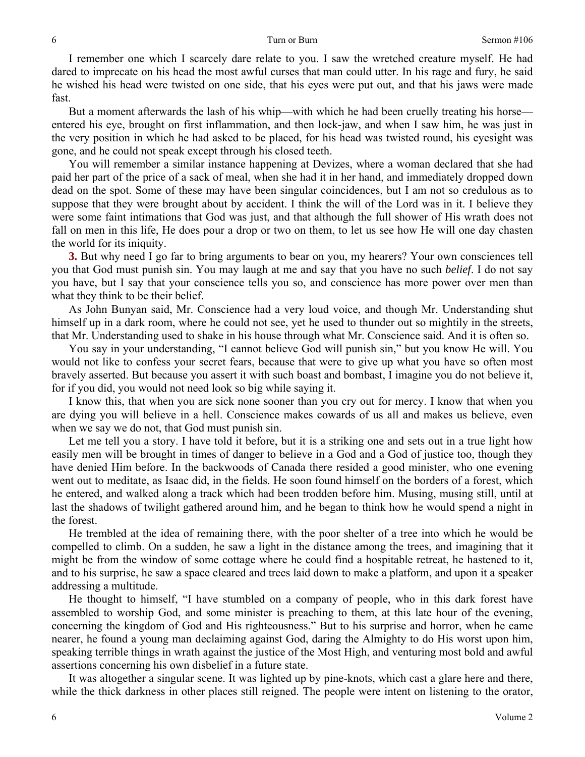### Turn or Burn Sermon #106

I remember one which I scarcely dare relate to you. I saw the wretched creature myself. He had dared to imprecate on his head the most awful curses that man could utter. In his rage and fury, he said he wished his head were twisted on one side, that his eyes were put out, and that his jaws were made fast.

But a moment afterwards the lash of his whip—with which he had been cruelly treating his horse entered his eye, brought on first inflammation, and then lock-jaw, and when I saw him, he was just in the very position in which he had asked to be placed, for his head was twisted round, his eyesight was gone, and he could not speak except through his closed teeth.

You will remember a similar instance happening at Devizes, where a woman declared that she had paid her part of the price of a sack of meal, when she had it in her hand, and immediately dropped down dead on the spot. Some of these may have been singular coincidences, but I am not so credulous as to suppose that they were brought about by accident. I think the will of the Lord was in it. I believe they were some faint intimations that God was just, and that although the full shower of His wrath does not fall on men in this life, He does pour a drop or two on them, to let us see how He will one day chasten the world for its iniquity.

**3.** But why need I go far to bring arguments to bear on you, my hearers? Your own consciences tell you that God must punish sin. You may laugh at me and say that you have no such *belief*. I do not say you have, but I say that your conscience tells you so, and conscience has more power over men than what they think to be their belief.

As John Bunyan said, Mr. Conscience had a very loud voice, and though Mr. Understanding shut himself up in a dark room, where he could not see, yet he used to thunder out so mightily in the streets, that Mr. Understanding used to shake in his house through what Mr. Conscience said. And it is often so.

You say in your understanding, "I cannot believe God will punish sin," but you know He will. You would not like to confess your secret fears, because that were to give up what you have so often most bravely asserted. But because you assert it with such boast and bombast, I imagine you do not believe it, for if you did, you would not need look so big while saying it.

I know this, that when you are sick none sooner than you cry out for mercy. I know that when you are dying you will believe in a hell. Conscience makes cowards of us all and makes us believe, even when we say we do not, that God must punish sin.

Let me tell you a story. I have told it before, but it is a striking one and sets out in a true light how easily men will be brought in times of danger to believe in a God and a God of justice too, though they have denied Him before. In the backwoods of Canada there resided a good minister, who one evening went out to meditate, as Isaac did, in the fields. He soon found himself on the borders of a forest, which he entered, and walked along a track which had been trodden before him. Musing, musing still, until at last the shadows of twilight gathered around him, and he began to think how he would spend a night in the forest.

He trembled at the idea of remaining there, with the poor shelter of a tree into which he would be compelled to climb. On a sudden, he saw a light in the distance among the trees, and imagining that it might be from the window of some cottage where he could find a hospitable retreat, he hastened to it, and to his surprise, he saw a space cleared and trees laid down to make a platform, and upon it a speaker addressing a multitude.

He thought to himself, "I have stumbled on a company of people, who in this dark forest have assembled to worship God, and some minister is preaching to them, at this late hour of the evening, concerning the kingdom of God and His righteousness." But to his surprise and horror, when he came nearer, he found a young man declaiming against God, daring the Almighty to do His worst upon him, speaking terrible things in wrath against the justice of the Most High, and venturing most bold and awful assertions concerning his own disbelief in a future state.

It was altogether a singular scene. It was lighted up by pine-knots, which cast a glare here and there, while the thick darkness in other places still reigned. The people were intent on listening to the orator,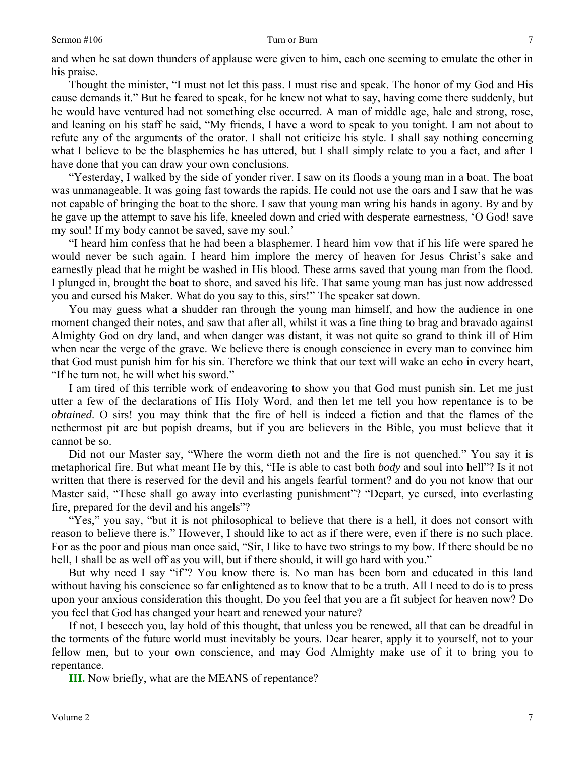### Sermon #106 Turn or Burn

and when he sat down thunders of applause were given to him, each one seeming to emulate the other in his praise.

Thought the minister, "I must not let this pass. I must rise and speak. The honor of my God and His cause demands it." But he feared to speak, for he knew not what to say, having come there suddenly, but he would have ventured had not something else occurred. A man of middle age, hale and strong, rose, and leaning on his staff he said, "My friends, I have a word to speak to you tonight. I am not about to refute any of the arguments of the orator. I shall not criticize his style. I shall say nothing concerning what I believe to be the blasphemies he has uttered, but I shall simply relate to you a fact, and after I have done that you can draw your own conclusions.

"Yesterday, I walked by the side of yonder river. I saw on its floods a young man in a boat. The boat was unmanageable. It was going fast towards the rapids. He could not use the oars and I saw that he was not capable of bringing the boat to the shore. I saw that young man wring his hands in agony. By and by he gave up the attempt to save his life, kneeled down and cried with desperate earnestness, 'O God! save my soul! If my body cannot be saved, save my soul.'

"I heard him confess that he had been a blasphemer. I heard him vow that if his life were spared he would never be such again. I heard him implore the mercy of heaven for Jesus Christ's sake and earnestly plead that he might be washed in His blood. These arms saved that young man from the flood. I plunged in, brought the boat to shore, and saved his life. That same young man has just now addressed you and cursed his Maker. What do you say to this, sirs!" The speaker sat down.

You may guess what a shudder ran through the young man himself, and how the audience in one moment changed their notes, and saw that after all, whilst it was a fine thing to brag and bravado against Almighty God on dry land, and when danger was distant, it was not quite so grand to think ill of Him when near the verge of the grave. We believe there is enough conscience in every man to convince him that God must punish him for his sin. Therefore we think that our text will wake an echo in every heart, "If he turn not, he will whet his sword."

I am tired of this terrible work of endeavoring to show you that God must punish sin. Let me just utter a few of the declarations of His Holy Word, and then let me tell you how repentance is to be *obtained*. O sirs! you may think that the fire of hell is indeed a fiction and that the flames of the nethermost pit are but popish dreams, but if you are believers in the Bible, you must believe that it cannot be so.

Did not our Master say, "Where the worm dieth not and the fire is not quenched." You say it is metaphorical fire. But what meant He by this, "He is able to cast both *body* and soul into hell"? Is it not written that there is reserved for the devil and his angels fearful torment? and do you not know that our Master said, "These shall go away into everlasting punishment"? "Depart, ye cursed, into everlasting fire, prepared for the devil and his angels"?

"Yes," you say, "but it is not philosophical to believe that there is a hell, it does not consort with reason to believe there is." However, I should like to act as if there were, even if there is no such place. For as the poor and pious man once said, "Sir, I like to have two strings to my bow. If there should be no hell, I shall be as well off as you will, but if there should, it will go hard with you."

But why need I say "if"? You know there is. No man has been born and educated in this land without having his conscience so far enlightened as to know that to be a truth. All I need to do is to press upon your anxious consideration this thought, Do you feel that you are a fit subject for heaven now? Do you feel that God has changed your heart and renewed your nature?

If not, I beseech you, lay hold of this thought, that unless you be renewed, all that can be dreadful in the torments of the future world must inevitably be yours. Dear hearer, apply it to yourself, not to your fellow men, but to your own conscience, and may God Almighty make use of it to bring you to repentance.

**III.** Now briefly, what are the MEANS of repentance?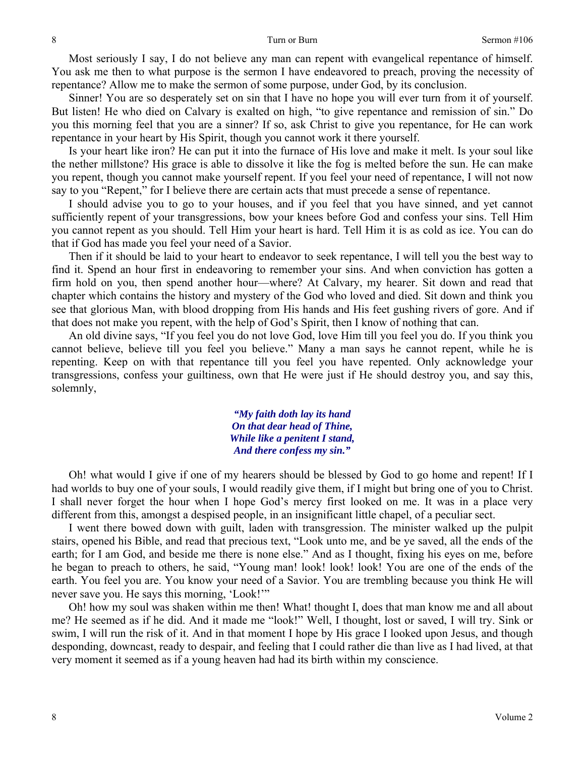Most seriously I say, I do not believe any man can repent with evangelical repentance of himself. You ask me then to what purpose is the sermon I have endeavored to preach, proving the necessity of repentance? Allow me to make the sermon of some purpose, under God, by its conclusion.

Sinner! You are so desperately set on sin that I have no hope you will ever turn from it of yourself. But listen! He who died on Calvary is exalted on high, "to give repentance and remission of sin." Do you this morning feel that you are a sinner? If so, ask Christ to give you repentance, for He can work repentance in your heart by His Spirit, though you cannot work it there yourself.

Is your heart like iron? He can put it into the furnace of His love and make it melt. Is your soul like the nether millstone? His grace is able to dissolve it like the fog is melted before the sun. He can make you repent, though you cannot make yourself repent. If you feel your need of repentance, I will not now say to you "Repent," for I believe there are certain acts that must precede a sense of repentance.

I should advise you to go to your houses, and if you feel that you have sinned, and yet cannot sufficiently repent of your transgressions, bow your knees before God and confess your sins. Tell Him you cannot repent as you should. Tell Him your heart is hard. Tell Him it is as cold as ice. You can do that if God has made you feel your need of a Savior.

Then if it should be laid to your heart to endeavor to seek repentance, I will tell you the best way to find it. Spend an hour first in endeavoring to remember your sins. And when conviction has gotten a firm hold on you, then spend another hour—where? At Calvary, my hearer. Sit down and read that chapter which contains the history and mystery of the God who loved and died. Sit down and think you see that glorious Man, with blood dropping from His hands and His feet gushing rivers of gore. And if that does not make you repent, with the help of God's Spirit, then I know of nothing that can.

An old divine says, "If you feel you do not love God, love Him till you feel you do. If you think you cannot believe, believe till you feel you believe." Many a man says he cannot repent, while he is repenting. Keep on with that repentance till you feel you have repented. Only acknowledge your transgressions, confess your guiltiness, own that He were just if He should destroy you, and say this, solemnly,

> *"My faith doth lay its hand On that dear head of Thine, While like a penitent I stand, And there confess my sin."*

Oh! what would I give if one of my hearers should be blessed by God to go home and repent! If I had worlds to buy one of your souls, I would readily give them, if I might but bring one of you to Christ. I shall never forget the hour when I hope God's mercy first looked on me. It was in a place very different from this, amongst a despised people, in an insignificant little chapel, of a peculiar sect.

I went there bowed down with guilt, laden with transgression. The minister walked up the pulpit stairs, opened his Bible, and read that precious text, "Look unto me, and be ye saved, all the ends of the earth; for I am God, and beside me there is none else." And as I thought, fixing his eyes on me, before he began to preach to others, he said, "Young man! look! look! look! You are one of the ends of the earth. You feel you are. You know your need of a Savior. You are trembling because you think He will never save you. He says this morning, 'Look!'"

Oh! how my soul was shaken within me then! What! thought I, does that man know me and all about me? He seemed as if he did. And it made me "look!" Well, I thought, lost or saved, I will try. Sink or swim, I will run the risk of it. And in that moment I hope by His grace I looked upon Jesus, and though desponding, downcast, ready to despair, and feeling that I could rather die than live as I had lived, at that very moment it seemed as if a young heaven had had its birth within my conscience.